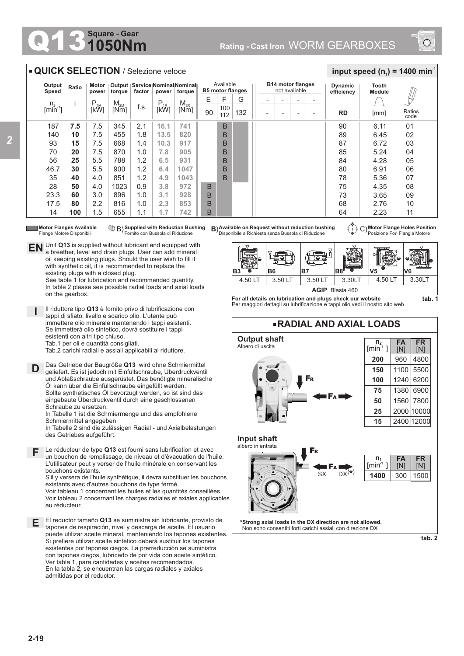## **1050Nm Square - Gear**



## **QUICK SELECTION** / Selezione veloce

**EN** Unit Q13 is supplied without lubricant and equipped with a breather, level and drain plugs. User can add mineral oil keeping existing plugs. Should the user wish to fill it with synthetic oil, it is recommended to replace the

> See table 1 for lubrication and recommended quantity. In table 2 please see possible radial loads and axial loads

Il riduttore tipo **Q13** è fornito privo di lubrificazione con tappi di sfiato, livello e scarico olio. L'utente può immettere olio minerale mantenendo i tappi esistenti. Se immetterà olio sintetico, dovrà sostituire i tappi

Tab.2 carichi radiali e assiali applicabili al riduttore.

Das Getriebe der Baugröße **Q13** wird ohne Schmiermittel geliefert. Es ist jedoch mit Einfüllschraube, Überdruckventil und Ablaßschraube ausgerüstet. Das benötigte mineralische Öl kann über die Einfüllschraube eingefüllt werden. Sollte synthetisches Öl bevorzugt werden, so ist sind das eingebaute Überdruckventil durch eine geschlossenen

existing plugs with a closed plug.

esistenti con altri tipo chiuso. Tab.1 per oli e quantità consigliati.

| Output<br>Speed           | Ratio | Motor<br>power   | torque   | factor | power    | Output   Service   Nominal Nominal  <br>torque | Available<br><b>B5 motor flanges</b> |            |     | <b>B14 motor flanges</b><br>not available |                          |                          |   | <b>Dynamic</b><br>efficiency | Tooth<br><b>Module</b> |                |
|---------------------------|-------|------------------|----------|--------|----------|------------------------------------------------|--------------------------------------|------------|-----|-------------------------------------------|--------------------------|--------------------------|---|------------------------------|------------------------|----------------|
|                           |       | $P_{1M}$<br>[kW] | $M_{2M}$ | f.s.   | $P_{1R}$ | $M_{2R}$                                       | E                                    | F          | G   |                                           | $\overline{\phantom{0}}$ | $\overline{\phantom{0}}$ |   |                              |                        | Щ              |
| $n2$ [min <sup>-1</sup> ] |       |                  | [Nm]     |        | [kW]     | [Nm]                                           | 90                                   | 100<br>112 | 132 | $\overline{\phantom{0}}$                  |                          | $\overline{\phantom{0}}$ | ۰ | <b>RD</b>                    | [mm]                   | Ratios<br>code |
| 187                       | 7.5   | 7.5              | 345      | 2.1    | 16.1     | 741                                            |                                      | B          |     |                                           |                          |                          |   | 90                           | 6.11                   | 01             |
| 140                       | 10    | 7.5              | 455      | 1.8    | 13.5     | 820                                            |                                      | B          |     |                                           |                          |                          |   | 89                           | 6.45                   | 02             |
| 93                        | 15    | 7.5              | 668      | 1.4    | 10.3     | 917                                            |                                      | B          |     |                                           |                          |                          |   | 87                           | 6.72                   | 03             |
| 70                        | 20    | 7.5              | 870      | 1.0    | 7.8      | 905                                            |                                      | B          |     |                                           |                          |                          |   | 85                           | 5.24                   | 04             |
| 56                        | 25    | 5.5              | 788      | 1.2    | 6.5      | 931                                            |                                      | B          |     |                                           |                          |                          |   | 84                           | 4.28                   | 05             |
| 46.7                      | 30    | 5.5              | 900      | 1.2    | 6.4      | 1047                                           |                                      | B          |     |                                           |                          |                          |   | 80                           | 6.91                   | 06             |
| 35                        | 40    | 4.0              | 851      | 1.2    | 4.9      | 1043                                           |                                      | B          |     |                                           |                          |                          |   | 78                           | 5.36                   | 07             |
| 28                        | 50    | 4.0              | 1023     | 0.9    | 3.8      | 972                                            | B                                    |            |     |                                           |                          |                          |   | 75                           | 4.35                   | 08             |
| 23.3                      | 60    | 3.0              | 896      | 1.0    | 3.1      | 928                                            | B                                    |            |     |                                           |                          |                          |   | 73                           | 3.65                   | 09             |
| 17.5                      | 80    | 2.2              | 816      | 1.0    | 2.3      | 853                                            | B                                    |            |     |                                           |                          |                          |   | 68                           | 2.76                   | 10             |
| 14                        | 100   | 1.5              | 655      | 1.1    | 1.7      | 742                                            | B                                    |            |     |                                           |                          |                          |   | 64                           | 2.23                   | 11             |

**Motor Flanges Available** Flange Motore Disponibili

on the gearbox.

**D**

**I**

**Supplied with Reduction Bushing** B) **B**) Fornito con Bussola di Riduzione

Le réducteur de type **Q13** est fourni sans lubrification et avec **F** un bouchon de remplissage, de niveau et d'évacuation de l'huile. L'utilisateur peut y verser de l'huile minérale en conservant les

In Tabelle 2 sind die zulässigen Radial - und Axialbelastungen

In Tabelle 1 ist die Schmiermenge und das empfohlene

existants avec d'autres bouchons de type fermé.

S'il y versera de l'huile synthétique, il devra substituer les bouchons

Voir tableau 1 concernant les huiles et les quantités conseillées. Voir tableau 2 concernant les charges radiales et axiales applicables

El reductor tamaño **Q13** se suministra sin lubricante, provisto de tapones de respiración, nivel y descarga de aceite. El usuario puede utilizar aceite mineral, manteniendo los tapones existentes. Si prefiere utilizar aceite sintético deberá sustituir los tapones existentes por tapones ciegos. La prerreducción se suministra con tapones ciegos, lubricado de por vida con aceite sintético. Ver tabla 1, para cantidades y aceites recomendados. En la tabla 2, se encuentran las cargas radiales y axiales

bouchons existants.

Schraube zu ersetzen.

Schmiermittel angegeben

des Getriebes aufgeführt.

admitidas por el reductor.

au réducteur.

**Available on Request without reduction bushing** Disponibile a Richiesta senza Bussola di Riduzione

**Motor Flange Holes Position** C) Posizione Fori Flangia Motore

 $\frac{1}{2}$  **input speed (n**<sub>1</sub>) = 1400 min<sup>-1</sup>



**For all details on lubrication and plugs check our website**  Per maggiori dettagli su lubrificazione e tappi olio vedi il nostro sito web



**\*Strong axial loads in the DX direction are not allowed.** Non sono consentiti forti carichi assiali con direzione DX

**tab. 2**

**E**